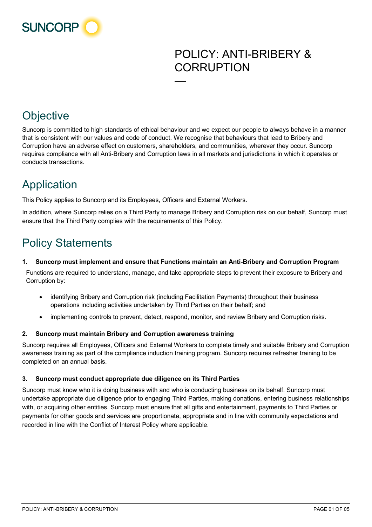

## POLICY: ANTI-BRIBERY & **CORRUPTION**

## **Objective**

Suncorp is committed to high standards of ethical behaviour and we expect our people to always behave in a manner that is consistent with our values and code of conduct. We recognise that behaviours that lead to Bribery and Corruption have an adverse effect on customers, shareholders, and communities, wherever they occur. Suncorp requires compliance with all Anti-Bribery and Corruption laws in all markets and jurisdictions in which it operates or conducts transactions.

—

# Application

This Policy applies to Suncorp and its Employees, Officers and External Workers.

In addition, where Suncorp relies on a Third Party to manage Bribery and Corruption risk on our behalf, Suncorp must ensure that the Third Party complies with the requirements of this Policy.

# Policy Statements

#### **1. Suncorp must implement and ensure that Functions maintain an Anti-Bribery and Corruption Program**

Functions are required to understand, manage, and take appropriate steps to prevent their exposure to Bribery and Corruption by:

- identifying Bribery and Corruption risk (including Facilitation Payments) throughout their business operations including activities undertaken by Third Parties on their behalf; and
- implementing controls to prevent, detect, respond, monitor, and review Bribery and Corruption risks.

#### **2. Suncorp must maintain Bribery and Corruption awareness training**

Suncorp requires all Employees, Officers and External Workers to complete timely and suitable Bribery and Corruption awareness training as part of the compliance induction training program. Suncorp requires refresher training to be completed on an annual basis.

#### **3. Suncorp must conduct appropriate due diligence on its Third Parties**

Suncorp must know who it is doing business with and who is conducting business on its behalf. Suncorp must undertake appropriate due diligence prior to engaging Third Parties, making donations, entering business relationships with, or acquiring other entities. Suncorp must ensure that all gifts and entertainment, payments to Third Parties or payments for other goods and services are proportionate, appropriate and in line with community expectations and recorded in line with the Conflict of Interest Policy where applicable.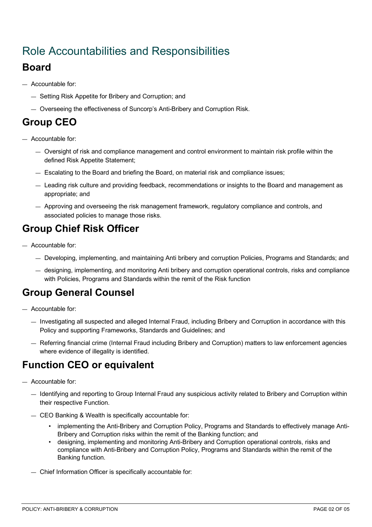## Role Accountabilities and Responsibilities

#### **Board**

- Accountable for:
	- Setting Risk Appetite for Bribery and Corruption; and
	- Overseeing the effectiveness of Suncorp's Anti-Bribery and Corruption Risk.

### **Group CEO**

- Accountable for:
	- Oversight of risk and compliance management and control environment to maintain risk profile within the defined Risk Appetite Statement;
	- Escalating to the Board and briefing the Board, on material risk and compliance issues;
	- Leading risk culture and providing feedback, recommendations or insights to the Board and management as appropriate; and
	- Approving and overseeing the risk management framework, regulatory compliance and controls, and associated policies to manage those risks.

## **Group Chief Risk Officer**

- Accountable for:
	- Developing, implementing, and maintaining Anti bribery and corruption Policies, Programs and Standards; and
	- designing, implementing, and monitoring Anti bribery and corruption operational controls, risks and compliance with Policies, Programs and Standards within the remit of the Risk function

#### **Group General Counsel**

- Accountable for:
	- Investigating all suspected and alleged Internal Fraud, including Bribery and Corruption in accordance with this Policy and supporting Frameworks, Standards and Guidelines; and
	- Referring financial crime (Internal Fraud including Bribery and Corruption) matters to law enforcement agencies where evidence of illegality is identified.

#### **Function CEO or equivalent**

- Accountable for:
	- Identifying and reporting to Group Internal Fraud any suspicious activity related to Bribery and Corruption within their respective Function.
	- CEO Banking & Wealth is specifically accountable for:
		- implementing the Anti-Bribery and Corruption Policy, Programs and Standards to effectively manage Anti-Bribery and Corruption risks within the remit of the Banking function; and
		- designing, implementing and monitoring Anti-Bribery and Corruption operational controls, risks and compliance with Anti-Bribery and Corruption Policy, Programs and Standards within the remit of the Banking function.
	- Chief Information Officer is specifically accountable for: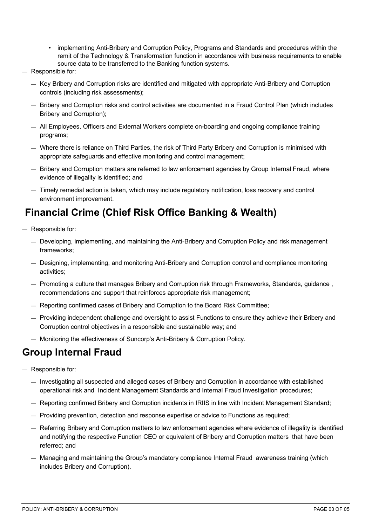- implementing Anti-Bribery and Corruption Policy, Programs and Standards and procedures within the remit of the Technology & Transformation function in accordance with business requirements to enable source data to be transferred to the Banking function systems.
- Responsible for:
	- Key Bribery and Corruption risks are identified and mitigated with appropriate Anti-Bribery and Corruption controls (including risk assessments);
	- Bribery and Corruption risks and control activities are documented in a Fraud Control Plan (which includes Bribery and Corruption);
	- All Employees, Officers and External Workers complete on-boarding and ongoing compliance training programs;
	- Where there is reliance on Third Parties, the risk of Third Party Bribery and Corruption is minimised with appropriate safeguards and effective monitoring and control management;
	- Bribery and Corruption matters are referred to law enforcement agencies by Group Internal Fraud, where evidence of illegality is identified; and
	- Timely remedial action is taken, which may include regulatory notification, loss recovery and control environment improvement.

#### **Financial Crime (Chief Risk Office Banking & Wealth)**

- Responsible for:
	- Developing, implementing, and maintaining the Anti-Bribery and Corruption Policy and risk management frameworks;
	- Designing, implementing, and monitoring Anti-Bribery and Corruption control and compliance monitoring activities;
	- Promoting a culture that manages Bribery and Corruption risk through Frameworks, Standards, guidance , recommendations and support that reinforces appropriate risk management;
	- Reporting confirmed cases of Bribery and Corruption to the Board Risk Committee;
	- Providing independent challenge and oversight to assist Functions to ensure they achieve their Bribery and Corruption control objectives in a responsible and sustainable way; and
	- Monitoring the effectiveness of Suncorp's Anti-Bribery & Corruption Policy.

#### **Group Internal Fraud**

- Responsible for:
	- Investigating all suspected and alleged cases of Bribery and Corruption in accordance with established operational risk and Incident Management Standards and Internal Fraud Investigation procedures;
	- Reporting confirmed Bribery and Corruption incidents in IRIIS in line with Incident Management Standard;
	- Providing prevention, detection and response expertise or advice to Functions as required;
	- Referring Bribery and Corruption matters to law enforcement agencies where evidence of illegality is identified and notifying the respective Function CEO or equivalent of Bribery and Corruption matters that have been referred; and
	- Managing and maintaining the Group's mandatory compliance Internal Fraud awareness training (which includes Bribery and Corruption).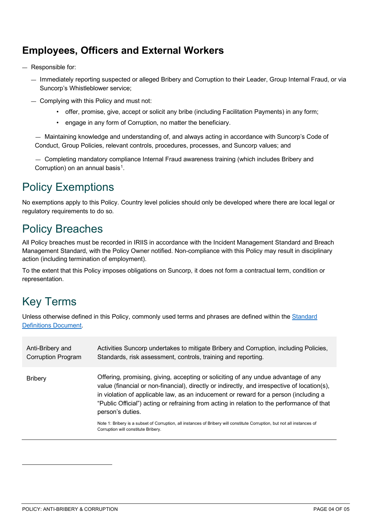#### **Employees, Officers and External Workers**

- Responsible for:
	- Immediately reporting suspected or alleged Bribery and Corruption to their Leader, Group Internal Fraud, or via Suncorp's Whistleblower service;
	- Complying with this Policy and must not:
		- offer, promise, give, accept or solicit any bribe (including Facilitation Payments) in any form;
		- engage in any form of Corruption, no matter the beneficiary.

— Maintaining knowledge and understanding of, and always acting in accordance with Suncorp's Code of Conduct, Group Policies, relevant controls, procedures, processes, and Suncorp values; and

— Completing mandatory compliance Internal Fraud awareness training (which includes Bribery and Corruption) on an annual basis<sup>1</sup>.

### Policy Exemptions

No exemptions apply to this Policy. Country level policies should only be developed where there are local legal or regulatory requirements to do so.

## Policy Breaches

All Policy breaches must be recorded in IRIIS in accordance with the Incident Management Standard and Breach Management Standard, with the Policy Owner notified. Non-compliance with this Policy may result in disciplinary action (including termination of employment).

To the extent that this Policy imposes obligations on Suncorp, it does not form a contractual term, condition or representation.

## Key Terms

Unless otherwise defined in this Policy, commonly used terms and phrases are defined within the Standard [Definitions Document.](https://suncorpgroup.sharepoint.com/sites/PolicySuite/Library/Forms/AllItems.aspx?id=%2Fsites%2FPolicySuite%2FLibrary%2FPolicy%20Definitions%20Standard%2Epdf&parent=%2Fsites%2FPolicySuite%2FLibrary)

<span id="page-3-0"></span>

| Anti-Bribery and<br><b>Corruption Program</b> | Activities Suncorp undertakes to mitigate Bribery and Corruption, including Policies,<br>Standards, risk assessment, controls, training and reporting.                                                                                                                                                                                                                                       |
|-----------------------------------------------|----------------------------------------------------------------------------------------------------------------------------------------------------------------------------------------------------------------------------------------------------------------------------------------------------------------------------------------------------------------------------------------------|
| <b>Bribery</b>                                | Offering, promising, giving, accepting or soliciting of any undue advantage of any<br>value (financial or non-financial), directly or indirectly, and irrespective of location(s),<br>in violation of applicable law, as an inducement or reward for a person (including a<br>"Public Official") acting or refraining from acting in relation to the performance of that<br>person's duties. |
|                                               | Note 1: Bribery is a subset of Corruption, all instances of Bribery will constitute Corruption, but not all instances of<br>Corruption will constitute Bribery.                                                                                                                                                                                                                              |